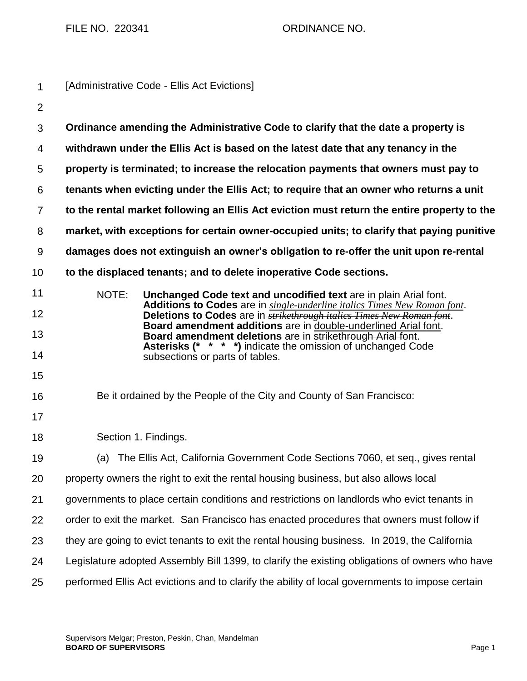FILE NO. 220341 ORDINANCE NO.

| $\mathbf 1$    | [Administrative Code - Ellis Act Evictions]                                                                                                               |
|----------------|-----------------------------------------------------------------------------------------------------------------------------------------------------------|
| $\overline{2}$ |                                                                                                                                                           |
| 3              | Ordinance amending the Administrative Code to clarify that the date a property is                                                                         |
| 4              | withdrawn under the Ellis Act is based on the latest date that any tenancy in the                                                                         |
| 5              | property is terminated; to increase the relocation payments that owners must pay to                                                                       |
| 6              | tenants when evicting under the Ellis Act; to require that an owner who returns a unit                                                                    |
| $\overline{7}$ | to the rental market following an Ellis Act eviction must return the entire property to the                                                               |
| 8              | market, with exceptions for certain owner-occupied units; to clarify that paying punitive                                                                 |
| 9              | damages does not extinguish an owner's obligation to re-offer the unit upon re-rental                                                                     |
| 10             | to the displaced tenants; and to delete inoperative Code sections.                                                                                        |
| 11             | NOTE:<br>Unchanged Code text and uncodified text are in plain Arial font.                                                                                 |
| 12             | Additions to Codes are in single-underline italics Times New Roman font.<br>Deletions to Codes are in <i>strikethrough italics Times New Roman font</i> . |
| 13             | Board amendment additions are in double-underlined Arial font.<br>Board amendment deletions are in strikethrough Arial font.                              |
| 14             | Asterisks (* * * *) indicate the omission of unchanged Code<br>subsections or parts of tables.                                                            |
| 15             |                                                                                                                                                           |
| 16             | Be it ordained by the People of the City and County of San Francisco:                                                                                     |
| 17             |                                                                                                                                                           |
| 18             | Section 1. Findings.                                                                                                                                      |
| 19             | (a) The Ellis Act, California Government Code Sections 7060, et seq., gives rental                                                                        |
| 20             | property owners the right to exit the rental housing business, but also allows local                                                                      |
| 21             | governments to place certain conditions and restrictions on landlords who evict tenants in                                                                |
| 22             | order to exit the market. San Francisco has enacted procedures that owners must follow if                                                                 |
| 23             | they are going to evict tenants to exit the rental housing business. In 2019, the California                                                              |
| 24             | Legislature adopted Assembly Bill 1399, to clarify the existing obligations of owners who have                                                            |
| 25             | performed Ellis Act evictions and to clarify the ability of local governments to impose certain                                                           |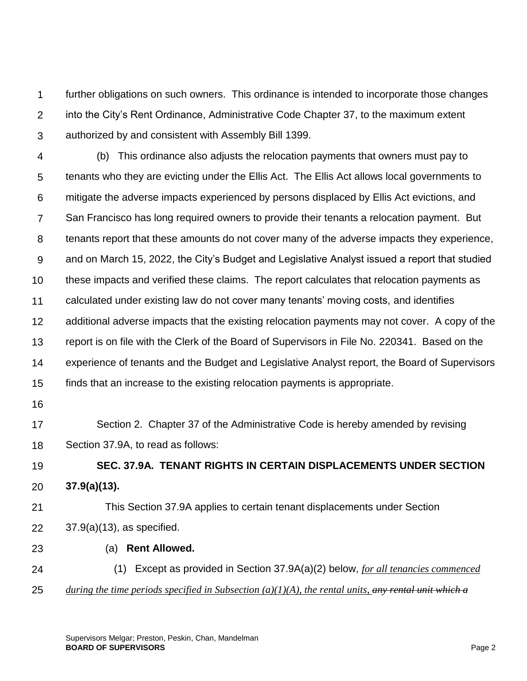1  $\mathcal{P}$ 3 further obligations on such owners. This ordinance is intended to incorporate those changes into the City's Rent Ordinance, Administrative Code Chapter 37, to the maximum extent authorized by and consistent with Assembly Bill 1399.

4 5 6 7 8 9 10 11 12 13 14 15 (b) This ordinance also adjusts the relocation payments that owners must pay to tenants who they are evicting under the Ellis Act. The Ellis Act allows local governments to mitigate the adverse impacts experienced by persons displaced by Ellis Act evictions, and San Francisco has long required owners to provide their tenants a relocation payment. But tenants report that these amounts do not cover many of the adverse impacts they experience, and on March 15, 2022, the City's Budget and Legislative Analyst issued a report that studied these impacts and verified these claims. The report calculates that relocation payments as calculated under existing law do not cover many tenants' moving costs, and identifies additional adverse impacts that the existing relocation payments may not cover. A copy of the report is on file with the Clerk of the Board of Supervisors in File No. 220341. Based on the experience of tenants and the Budget and Legislative Analyst report, the Board of Supervisors finds that an increase to the existing relocation payments is appropriate.

16

17 18 Section 2. Chapter 37 of the Administrative Code is hereby amended by revising Section 37.9A, to read as follows:

19 20 **SEC. 37.9A. TENANT RIGHTS IN CERTAIN DISPLACEMENTS UNDER SECTION 37.9(a)(13).**

21 22 This Section 37.9A applies to certain tenant displacements under Section 37.9(a)(13), as specified.

23

(a) **Rent Allowed.**

24 25 (1) Except as provided in Section 37.9A(a)(2) below, *for all tenancies commenced during the time periods specified in Subsection (a)(1)(A), the rental units, any rental unit which a*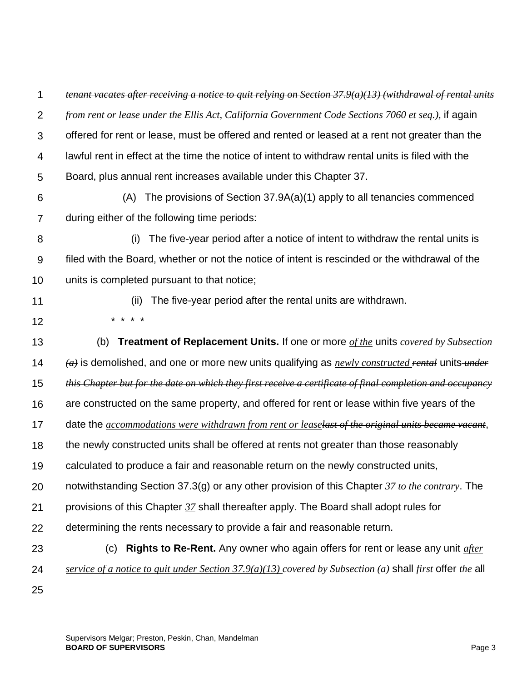1  $\mathcal{P}$ 3 *tenant vacates after receiving a notice to quit relying on Section 37.9(a)(13) (withdrawal of rental units from rent or lease under the Ellis Act, California Government Code Sections 7060 et seq.),* if again offered for rent or lease, must be offered and rented or leased at a rent not greater than the

4 lawful rent in effect at the time the notice of intent to withdraw rental units is filed with the

5 Board, plus annual rent increases available under this Chapter 37.

6

 (A) The provisions of Section 37.9A(a)(1) apply to all tenancies commenced during either of the following time periods:

7

8 9 10 (i) The five-year period after a notice of intent to withdraw the rental units is filed with the Board, whether or not the notice of intent is rescinded or the withdrawal of the units is completed pursuant to that notice;

11

12

(ii) The five-year period after the rental units are withdrawn.

\* \* \* \*

13 14 15 16 17 18 19 20 21 22 23 24 25 (b) **Treatment of Replacement Units.** If one or more *of the* units *covered by Subsection (a)* is demolished, and one or more new units qualifying as *newly constructed rental* units *under this Chapter but for the date on which they first receive a certificate of final completion and occupancy* are constructed on the same property, and offered for rent or lease within five years of the date the *accommodations were withdrawn from rent or leaselast of the original units became vacant*, the newly constructed units shall be offered at rents not greater than those reasonably calculated to produce a fair and reasonable return on the newly constructed units, notwithstanding Section 37.3(g) or any other provision of this Chapter *37 to the contrary*. The provisions of this Chapter *37* shall thereafter apply. The Board shall adopt rules for determining the rents necessary to provide a fair and reasonable return. (c) **Rights to Re-Rent.** Any owner who again offers for rent or lease any unit *after service of a notice to quit under Section 37.9(a)(13) covered by Subsection (a)* shall *first* offer *the* all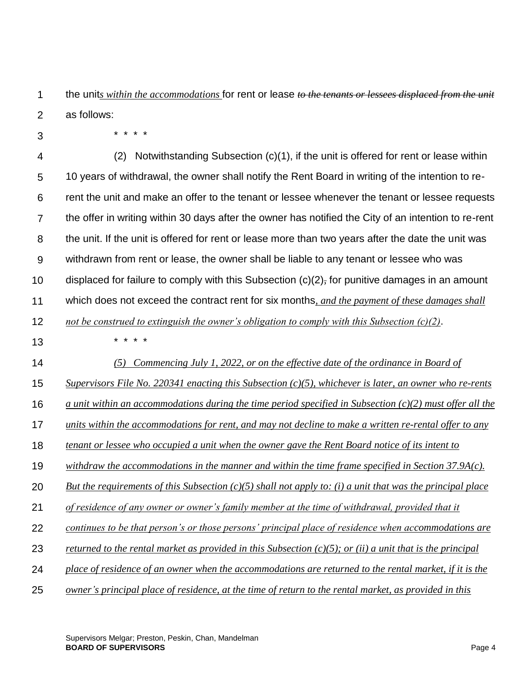1 2 the unit*s within the accommodations* for rent or lease *to the tenants or lessees displaced from the unit* as follows:

3

\* \* \* \*

| 4              | Notwithstanding Subsection (c)(1), if the unit is offered for rent or lease within<br>(2)                       |
|----------------|-----------------------------------------------------------------------------------------------------------------|
| 5              | 10 years of withdrawal, the owner shall notify the Rent Board in writing of the intention to re-                |
| 6              | rent the unit and make an offer to the tenant or lessee whenever the tenant or lessee requests                  |
| $\overline{7}$ | the offer in writing within 30 days after the owner has notified the City of an intention to re-rent            |
| 8              | the unit. If the unit is offered for rent or lease more than two years after the date the unit was              |
| $9\,$          | withdrawn from rent or lease, the owner shall be liable to any tenant or lessee who was                         |
| 10             | displaced for failure to comply with this Subsection $(c)(2)$ , for punitive damages in an amount               |
| 11             | which does not exceed the contract rent for six months, and the payment of these damages shall                  |
| 12             | not be construed to extinguish the owner's obligation to comply with this Subsection $(c)(2)$ .                 |
| 13             |                                                                                                                 |
| 14             | Commencing July 1, 2022, or on the effective date of the ordinance in Board of<br>(5)                           |
| 15             | Supervisors File No. 220341 enacting this Subsection $(c)(5)$ , whichever is later, an owner who re-rents       |
| 16             | $\alpha$ unit within an accommodations during the time period specified in Subsection (c)(2) must offer all the |
| 17             | units within the accommodations for rent, and may not decline to make a written re-rental offer to any          |
| 18             | tenant or lessee who occupied a unit when the owner gave the Rent Board notice of its intent to                 |
| 19             | withdraw the accommodations in the manner and within the time frame specified in Section 37.9A(c).              |
| 20             | But the requirements of this Subsection $(c)(5)$ shall not apply to: (i) a unit that was the principal place    |
| 21             | of residence of any owner or owner's family member at the time of withdrawal, provided that it                  |
| 22             | continues to be that person's or those persons' principal place of residence when accommodations are            |
| 23             | returned to the rental market as provided in this Subsection $(c)(5)$ ; or (ii) a unit that is the principal    |
| 24             | place of residence of an owner when the accommodations are returned to the rental market, if it is the          |
| 25             | owner's principal place of residence, at the time of return to the rental market, as provided in this           |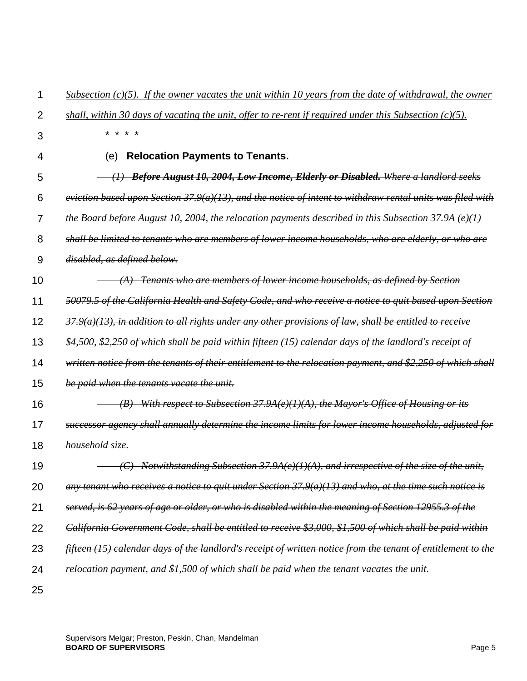| 1              | Subsection $(c)(5)$ . If the owner vacates the unit within 10 years from the date of withdrawal, the owner   |
|----------------|--------------------------------------------------------------------------------------------------------------|
| $\overline{2}$ | shall, within 30 days of vacating the unit, offer to re-rent if required under this Subsection $(c)(5)$ .    |
| 3              | $\star$                                                                                                      |
| 4              | <b>Relocation Payments to Tenants.</b><br>(e)                                                                |
| 5              | (1) Before August 10, 2004, Low Income, Elderly or Disabled. Where a landlord seeks                          |
| 6              | eviction based upon Section $37.9(a)(13)$ , and the notice of intent to withdraw rental units was filed with |
| 7              | the Board before August 10, 2004, the relocation payments described in this Subsection 37.9A (e)(1)          |
| 8              | shall be limited to tenants who are members of lower income households, who are elderly, or who are          |
| 9              | disabled, as defined below.                                                                                  |
| 10             | $(A)$ Tenants who are members of lower income households, as defined by Section                              |
| 11             | 50079.5 of the California Health and Safety Code, and who receive a notice to quit based upon Section        |
| 12             | $37.9(a)(13)$ , in addition to all rights under any other provisions of law, shall be entitled to receive    |
| 13             | \$4,500, \$2,250 of which shall be paid within fifteen (15) calendar days of the landlord's receipt of       |
| 14             | written notice from the tenants of their entitlement to the relocation payment, and \$2,250 of which shall   |
| 15             | be paid when the tenants vacate the unit.                                                                    |
| 16             | (B) With respect to Subsection 37.9A(e)(1)(A), the Mayor's Office of Housing or its                          |
| 17             | successor agency shall annually determine the income limits for lower income households, adjusted for        |
| 18             | household size.                                                                                              |
| 19             | (C) Notwithstanding Subsection 37.9A(e)(1)(A), and irrespective of the size of the unit,                     |
| 20             | any tenant who receives a notice to quit under Section $37.9(a)(13)$ and who, at the time such notice is     |
| 21             | served, is 62 years of age or older, or who is disabled within the meaning of Section 12955.3 of the         |
| 22             | California Government Code, shall be entitled to receive \$3,000, \$1,500 of which shall be paid within      |
| 23             | fifteen (15) calendar days of the landlord's receipt of written notice from the tenant of entitlement to the |
| 24             | relocation payment, and \$1,500 of which shall be paid when the tenant vacates the unit.                     |
| 25             |                                                                                                              |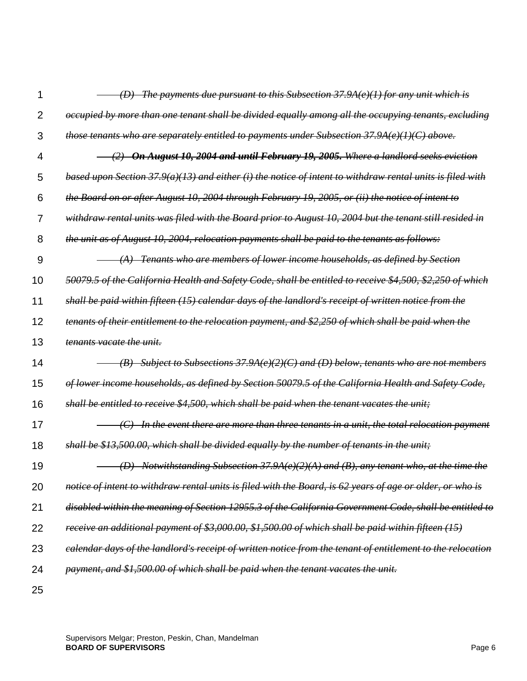| 1              | (D) The payments due pursuant to this Subsection 37.9A(e)(1) for any unit which is                         |
|----------------|------------------------------------------------------------------------------------------------------------|
| $\overline{2}$ | occupied by more than one tenant shall be divided equally among all the occupying tenants, excluding       |
| 3              | those tenants who are separately entitled to payments under Subsection 37.9A(e)(1)(C) above.               |
| 4              | (2) On August 10, 2004 and until February 19, 2005. Where a landlord seeks eviction                        |
| 5              | based upon Section 37.9(a)(13) and either (i) the notice of intent to withdraw rental units is filed with  |
| 6              | the Board on or after August 10, 2004 through February 19, 2005, or (ii) the notice of intent to           |
| 7              | withdraw rental units was filed with the Board prior to August 10, 2004 but the tenant still resided in    |
| 8              | the unit as of August 10, 2004, relocation payments shall be paid to the tenants as follows:               |
| 9              | $(A)$ Tenants who are members of lower income households, as defined by Section                            |
| 10             | 50079.5 of the California Health and Safety Code, shall be entitled to receive \$4,500, \$2,250 of which   |
| 11             | shall be paid within fifteen (15) calendar days of the landlord's receipt of written notice from the       |
| 12             | tenants of their entitlement to the relocation payment, and \$2,250 of which shall be paid when the        |
| 13             | tenants vacate the unit.                                                                                   |
| 14             | $(B)$ Subject to Subsections 37.9A(e)(2)(C) and (D) below, tenants who are not members                     |
| 15             | of lower income households, as defined by Section 50079.5 of the California Health and Safety Code,        |
| 16             | shall be entitled to receive \$4,500, which shall be paid when the tenant vacates the unit;                |
| 17             | $(C)$ In the event there are more than three tenants in a unit, the total relocation payment               |
| 18             | shall be \$13,500.00, which shall be divided equally by the number of tenants in the unit;                 |
| 19             | (D) Notwithstanding Subsection 37.9A(e)(2)(A) and (B), any tenant who, at the time the                     |
| 20             | notice of intent to withdraw rental units is filed with the Board, is 62 years of age or older, or who is  |
| 21             | disabled within the meaning of Section 12955.3 of the California Government Code, shall be entitled to     |
| 22             | receive an additional payment of \$3,000.00, \$1,500.00 of which shall be paid within fifteen (15)         |
| 23             | ealendar days of the landlord's receipt of written notice from the tenant of entitlement to the relocation |
| 24             | payment, and \$1,500.00 of which shall be paid when the tenant vacates the unit.                           |
|                |                                                                                                            |

25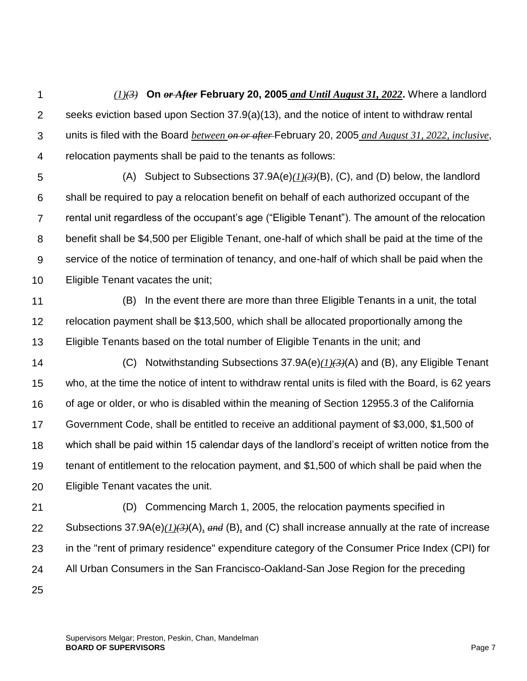1 2 3 4 *(1)(3)* **On** *or After* **February 20, 2005** *and Until August 31, 2022***.** Where a landlord seeks eviction based upon Section 37.9(a)(13), and the notice of intent to withdraw rental units is filed with the Board *between on or after* February 20, 2005 *and August 31, 2022, inclusive*, relocation payments shall be paid to the tenants as follows:

5 6 7 8 9 10 (A) Subject to Subsections 37.9A(e)*(1)(3)*(B), (C), and (D) below, the landlord shall be required to pay a relocation benefit on behalf of each authorized occupant of the rental unit regardless of the occupant's age ("Eligible Tenant"). The amount of the relocation benefit shall be \$4,500 per Eligible Tenant, one-half of which shall be paid at the time of the service of the notice of termination of tenancy, and one-half of which shall be paid when the Eligible Tenant vacates the unit;

- 11 12 13 (B) In the event there are more than three Eligible Tenants in a unit, the total relocation payment shall be \$13,500, which shall be allocated proportionally among the Eligible Tenants based on the total number of Eligible Tenants in the unit; and
- 14 15 16 17 18 19 20 (C) Notwithstanding Subsections 37.9A(e)*(1)(3)*(A) and (B), any Eligible Tenant who, at the time the notice of intent to withdraw rental units is filed with the Board, is 62 years of age or older, or who is disabled within the meaning of Section 12955.3 of the California Government Code, shall be entitled to receive an additional payment of \$3,000, \$1,500 of which shall be paid within 15 calendar days of the landlord's receipt of written notice from the tenant of entitlement to the relocation payment, and \$1,500 of which shall be paid when the Eligible Tenant vacates the unit.
- 21 22 23 24 (D) Commencing March 1, 2005, the relocation payments specified in Subsections 37.9A(e)*(1)(3)*(A)*, and* (B)*,* and (C) shall increase annually at the rate of increase in the "rent of primary residence" expenditure category of the Consumer Price Index (CPI) for All Urban Consumers in the San Francisco-Oakland-San Jose Region for the preceding
- 25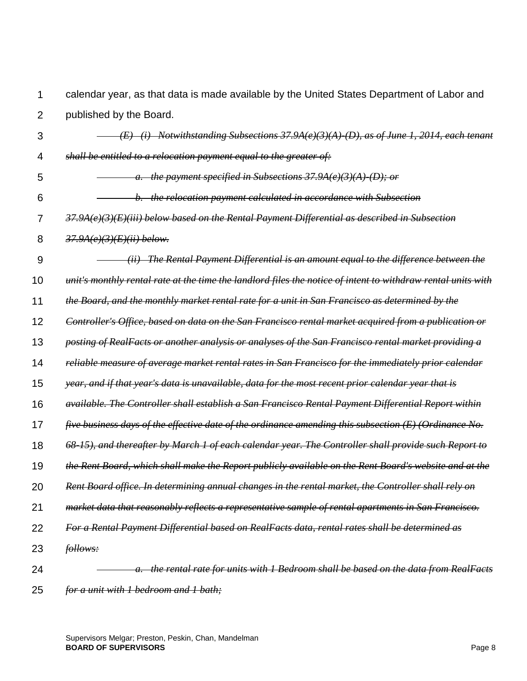1  $\mathfrak{p}$ calendar year, as that data is made available by the United States Department of Labor and published by the Board.

- 3 4 5 6 7 8 9 10 11 12 13 14 15 16 17 18 19 20 21 22 23 24  *(E) (i) Notwithstanding Subsections 37.9A(e)(3)(A)-(D), as of June 1, 2014, each tenant shall be entitled to a relocation payment equal to the greater of: a. the payment specified in Subsections 37.9A(e)(3)(A)-(D); or b. the relocation payment calculated in accordance with Subsection 37.9A(e)(3)(E)(iii) below based on the Rental Payment Differential as described in Subsection 37.9A(e)(3)(E)(ii) below. (ii) The Rental Payment Differential is an amount equal to the difference between the unit's monthly rental rate at the time the landlord files the notice of intent to withdraw rental units with the Board, and the monthly market rental rate for a unit in San Francisco as determined by the Controller's Office, based on data on the San Francisco rental market acquired from a publication or posting of RealFacts or another analysis or analyses of the San Francisco rental market providing a reliable measure of average market rental rates in San Francisco for the immediately prior calendar year, and if that year's data is unavailable, data for the most recent prior calendar year that is available. The Controller shall establish a San Francisco Rental Payment Differential Report within five business days of the effective date of the ordinance amending this subsection (E) (Ordinance No. 68-15), and thereafter by March 1 of each calendar year. The Controller shall provide such Report to the Rent Board, which shall make the Report publicly available on the Rent Board's website and at the Rent Board office. In determining annual changes in the rental market, the Controller shall rely on market data that reasonably reflects a representative sample of rental apartments in San Francisco. For a Rental Payment Differential based on RealFacts data, rental rates shall be determined as follows: a. the rental rate for units with 1 Bedroom shall be based on the data from RealFacts*
- 25 *for a unit with 1 bedroom and 1 bath;*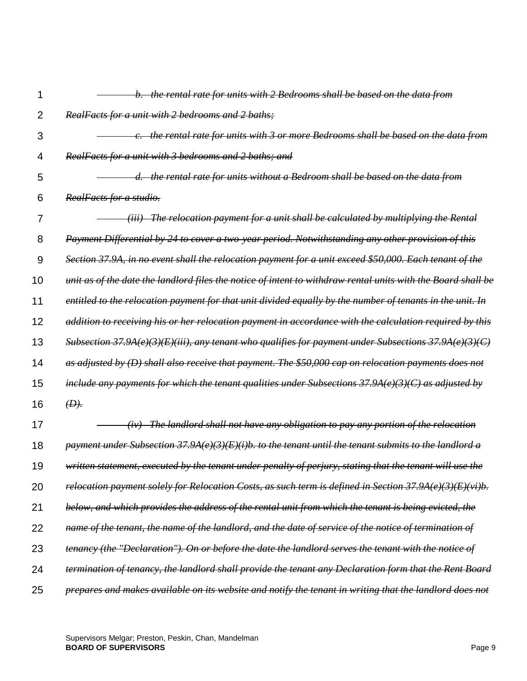| 1  | b. the rental rate for units with 2 Bedrooms shall be based on the data from                                 |
|----|--------------------------------------------------------------------------------------------------------------|
| 2  | RealFacts for a unit with 2 bedrooms and 2 baths;                                                            |
| 3  | c. the rental rate for units with 3 or more Bedrooms shall be based on the data from                         |
| 4  | RealFacts for a unit with 3 bedrooms and 2 baths; and                                                        |
| 5  | d. the rental rate for units without a Bedroom shall be based on the data from                               |
| 6  | RealFacts for a studio.                                                                                      |
| 7  | (iii) The relocation payment for a unit shall be calculated by multiplying the Rental                        |
| 8  | Payment Differential by 24 to cover a two-year period. Notwithstanding any other provision of this           |
| 9  | Section 37.9A, in no event shall the relocation payment for a unit exceed \$50,000. Each tenant of the       |
| 10 | unit as of the date the landlord files the notice of intent to withdraw rental units with the Board shall be |
| 11 | entitled to the relocation payment for that unit divided equally by the number of tenants in the unit. In    |
| 12 | addition to receiving his or her relocation payment in accordance with the calculation required by this      |
| 13 | Subsection 37.9A(e)(3)(E)(iii), any tenant who qualifies for payment under Subsections 37.9A(e)(3)(C)        |
| 14 | as adjusted by (D) shall also receive that payment. The \$50,000 cap on relocation payments does not         |
| 15 | include any payments for which the tenant qualities under Subsections $37.9A(e)(3)(C)$ as adjusted by        |
| 16 | (D).                                                                                                         |
| 17 | (iv) The landlord shall not have any obligation to pay any portion of the relocation                         |
| 18 | payment under Subsection 37.9A(e)(3)(E)(i)b. to the tenant until the tenant submits to the landlord a        |
| 19 | written statement, executed by the tenant under penalty of perjury, stating that the tenant will use the     |
| 20 | relocation payment solely for Relocation Costs, as such term is defined in Section 37.9A(e)(3)(E)(vi)b.      |
| 21 | below, and which provides the address of the rental unit from which the tenant is being evicted, the         |
| 22 | name of the tenant, the name of the landlord, and the date of service of the notice of termination of        |
| 23 | tenancy (the "Declaration"). On or before the date the landlord serves the tenant with the notice of         |
| 24 | termination of tenancy, the landlord shall provide the tenant any Declaration form that the Rent Board       |
| 25 | prepares and makes available on its website and notify the tenant in writing that the landlord does not      |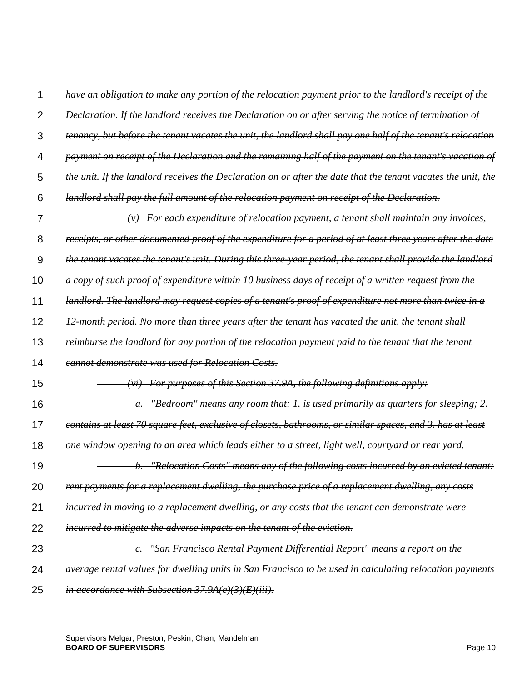| 1              | have an obligation to make any portion of the relocation payment prior to the landlord's receipt of the       |
|----------------|---------------------------------------------------------------------------------------------------------------|
| $\overline{2}$ | Declaration. If the landlord receives the Declaration on or after serving the notice of termination of        |
| 3              | tenancy, but before the tenant vacates the unit, the landlord shall pay one half of the tenant's relocation   |
| 4              | payment on receipt of the Declaration and the remaining half of the payment on the tenant's vacation of       |
| 5              | the unit. If the landlord receives the Declaration on or after the date that the tenant vacates the unit, the |
| 6              | landlord shall pay the full amount of the relocation payment on receipt of the Declaration.                   |
| 7              | $(v)$ For each expenditure of relocation payment, a tenant shall maintain any invoices,                       |
| 8              | receipts, or other documented proof of the expenditure for a period of at least three years after the date    |
| 9              | the tenant vacates the tenant's unit. During this three-year period, the tenant shall provide the landlord    |
| 10             | a copy of such proof of expenditure within 10 business days of receipt of a written request from the          |
| 11             | landlord. The landlord may request copies of a tenant's proof of expenditure not more than twice in a         |
| 12             | 12-month period. No more than three years after the tenant has vacated the unit, the tenant shall             |
| 13             | reimburse the landlord for any portion of the relocation payment paid to the tenant that the tenant           |
| 14             | <b>cannot demonstrate was used for Relocation Costs.</b>                                                      |
| 15             | For purposes of this Section 37.9A, the following definitions apply:                                          |
| 16             | "Bedroom" means any room that: 1. is used primarily as quarters for sleeping; 2.                              |
| 17             | contains at least 70 square feet, exclusive of closets, bathrooms, or similar spaces, and 3. has at least     |
| 18             | one window opening to an area which leads either to a street, light well, courtyard or rear yard.             |
| 19             | "Relocation Costs" means any of the following costs incurred by an evicted tenant:                            |
| 20             | rent payments for a replacement dwelling, the purchase price of a replacement dwelling, any costs             |
| 21             | incurred in moving to a replacement dwelling, or any costs that the tenant can demonstrate were               |
| 22             | incurred to mitigate the adverse impacts on the tenant of the eviction.                                       |
| 23             | "San Francisco Rental Payment Differential Report" means a report on the                                      |
| 24             | average rental values for dwelling units in San Francisco to be used in calculating relocation payments       |
| 25             | in accordance with Subsection $37.9A(e)(3)(E)(iii)$ .                                                         |

Supervisors Melgar; Preston, Peskin, Chan, Mandelman **BOARD OF SUPERVISORS** Page 10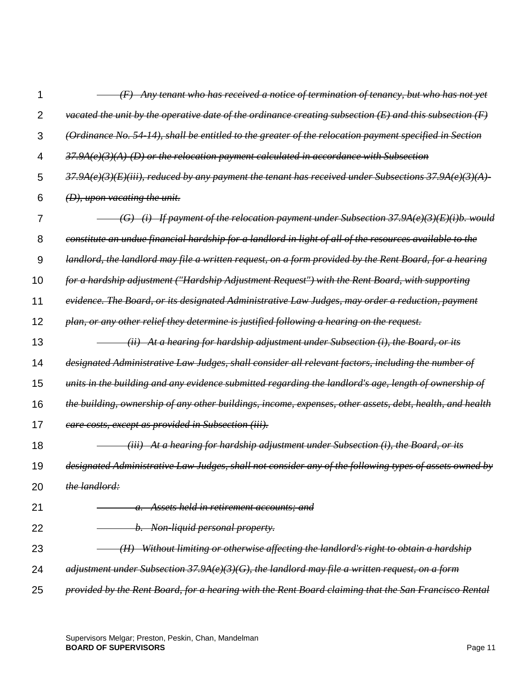| 1  | $(F)$ Any tenant who has received a notice of termination of tenancy, but who has not yet                          |
|----|--------------------------------------------------------------------------------------------------------------------|
| 2  | vacated the unit by the operative date of the ordinance creating subsection $(E)$ and this subsection $(F)$        |
| 3  | (Ordinance No. 54-14), shall be entitled to the greater of the relocation payment specified in Section             |
| 4  | $37.9A(e)(3)(A)$ (D) or the relocation payment calculated in accordance with Subsection                            |
| 5  | $37.9A(e)(3)(E)(iii)$ , reduced by any payment the tenant has received under Subsections $37.9A(e)(3)(A)$ -        |
| 6  | $(D)$ , upon vacating the unit.                                                                                    |
| 7  | $(G)$ (i) If payment of the relocation payment under Subsection 37.9A(e)(3)(E)(i)b. would                          |
| 8  | <del>constitute an undue financial hardship for a landlord in light of all of the resources available to the</del> |
| 9  | landlord, the landlord may file a written request, on a form provided by the Rent Board, for a hearing             |
| 10 | for a hardship adjustment ("Hardship Adjustment Request") with the Rent Board, with supporting                     |
| 11 | evidence. The Board, or its designated Administrative Law Judges, may order a reduction, payment                   |
| 12 | plan, or any other relief they determine is justified following a hearing on the request.                          |
| 13 | (ii) At a hearing for hardship adjustment under Subsection (i), the Board, or its                                  |
| 14 | designated Administrative Law Judges, shall consider all relevant factors, including the number of                 |
| 15 | units in the building and any evidence submitted regarding the landlord's age, length of ownership of              |
| 16 | the building, ownership of any other buildings, income, expenses, other assets, debt, health, and health           |
| 17 | care costs, except as provided in Subsection (iii).                                                                |
| 18 | <del>(iii) At a hearing for hardship adjustment under Subsection (i), the Board, or its</del>                      |
| 19 | designated Administrative Law Judges, shall not consider any of the following types of assets owned by             |
| 20 | the landlord:                                                                                                      |
| 21 | a. Assets held in retirement accounts; and                                                                         |
| 22 | b. Non-liquid personal property.                                                                                   |
| 23 | Without limiting or otherwise affecting the landlord's right to obtain a hardship                                  |
| 24 | adjustment under Subsection 37.9A(e)(3)(G), the landlord may file a written request, on a form                     |
| 25 | provided by the Rent Board, for a hearing with the Rent Board claiming that the San Francisco Rental               |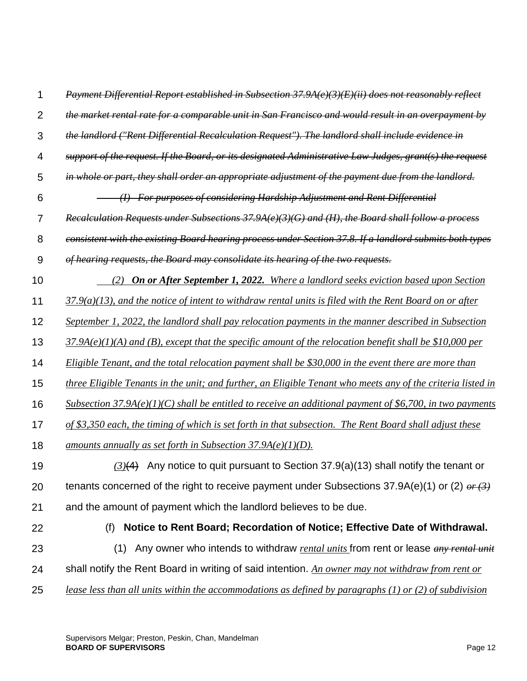| 1              | Payment Differential Report established in Subsection 37.9A(e)(3)(E)(ii) does not reasonably reflect        |
|----------------|-------------------------------------------------------------------------------------------------------------|
| $\overline{2}$ | the market rental rate for a comparable unit in San Francisco and would result in an overpayment by         |
| 3              | the landlord ("Rent Differential Recalculation Request"). The landlord shall include evidence in            |
| $\overline{4}$ | support of the request. If the Board, or its designated Administrative Law Judges, grant(s) the request     |
| 5              | in whole or part, they shall order an appropriate adjustment of the payment due from the landlord.          |
| 6              | (I) For purposes of considering Hardship Adjustment and Rent Differential                                   |
| $\overline{7}$ | Recalculation Requests under Subsections $37.9A(e)(3)(G)$ and (H), the Board shall follow a process         |
| 8              | consistent with the existing Board hearing process under Section 37.8. If a landlord submits both types     |
| 9              | of hearing requests, the Board may consolidate its hearing of the two requests.                             |
| 10             | (2) On or After September 1, 2022. Where a landlord seeks eviction based upon Section                       |
| 11             | $37.9(a)(13)$ , and the notice of intent to withdraw rental units is filed with the Rent Board on or after  |
| 12             | September 1, 2022, the landlord shall pay relocation payments in the manner described in Subsection         |
| 13             | $37.9A(e)(1)(A)$ and (B), except that the specific amount of the relocation benefit shall be \$10,000 per   |
| 14             | Eligible Tenant, and the total relocation payment shall be $$30,000$ in the event there are more than       |
| 15             | three Eligible Tenants in the unit; and further, an Eligible Tenant who meets any of the criteria listed in |
| 16             | Subsection 37.9A(e)(1)(C) shall be entitled to receive an additional payment of \$6,700, in two payments    |
| 17             | of \$3,350 each, the timing of which is set forth in that subsection. The Rent Board shall adjust these     |
| 18             | amounts annually as set forth in Subsection $37.9A(e)(1)(D)$ .                                              |
| 19             | $(3)(4)$ Any notice to quit pursuant to Section 37.9(a)(13) shall notify the tenant or                      |
| 20             | tenants concerned of the right to receive payment under Subsections 37.9A(e)(1) or (2) $or (3)$             |
| 21             | and the amount of payment which the landlord believes to be due.                                            |
| 22             | Notice to Rent Board; Recordation of Notice; Effective Date of Withdrawal.<br>(f)                           |
| 23             | Any owner who intends to withdraw rental units from rent or lease any rental unit<br>(1)                    |
| 24             | shall notify the Rent Board in writing of said intention. An owner may not withdraw from rent or            |
| 25             | lease less than all units within the accommodations as defined by paragraphs (1) or (2) of subdivision      |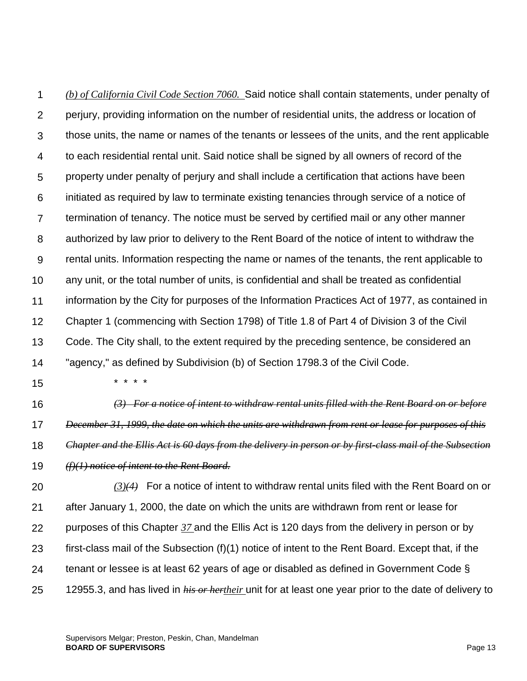1  $\mathcal{P}$ 3 4 5 6 7 8 9 10 11 12 13 14 *(b) of California Civil Code Section 7060.* Said notice shall contain statements, under penalty of perjury, providing information on the number of residential units, the address or location of those units, the name or names of the tenants or lessees of the units, and the rent applicable to each residential rental unit. Said notice shall be signed by all owners of record of the property under penalty of perjury and shall include a certification that actions have been initiated as required by law to terminate existing tenancies through service of a notice of termination of tenancy. The notice must be served by certified mail or any other manner authorized by law prior to delivery to the Rent Board of the notice of intent to withdraw the rental units. Information respecting the name or names of the tenants, the rent applicable to any unit, or the total number of units, is confidential and shall be treated as confidential information by the City for purposes of the Information Practices Act of 1977, as contained in Chapter 1 (commencing with Section 1798) of Title 1.8 of Part 4 of Division 3 of the Civil Code. The City shall, to the extent required by the preceding sentence, be considered an "agency," as defined by Subdivision (b) of Section 1798.3 of the Civil Code.

15

\* \* \* \*

- 16 17 18 19 *(3) For a notice of intent to withdraw rental units filled with the Rent Board on or before December 31, 1999, the date on which the units are withdrawn from rent or lease for purposes of this Chapter and the Ellis Act is 60 days from the delivery in person or by first-class mail of the Subsection (f)(1) notice of intent to the Rent Board.*
- 20 21 22 23 24 25 *(3)(4)* For a notice of intent to withdraw rental units filed with the Rent Board on or after January 1, 2000, the date on which the units are withdrawn from rent or lease for purposes of this Chapter *37* and the Ellis Act is 120 days from the delivery in person or by first-class mail of the Subsection (f)(1) notice of intent to the Rent Board. Except that, if the tenant or lessee is at least 62 years of age or disabled as defined in Government Code § 12955.3, and has lived in *his or hertheir* unit for at least one year prior to the date of delivery to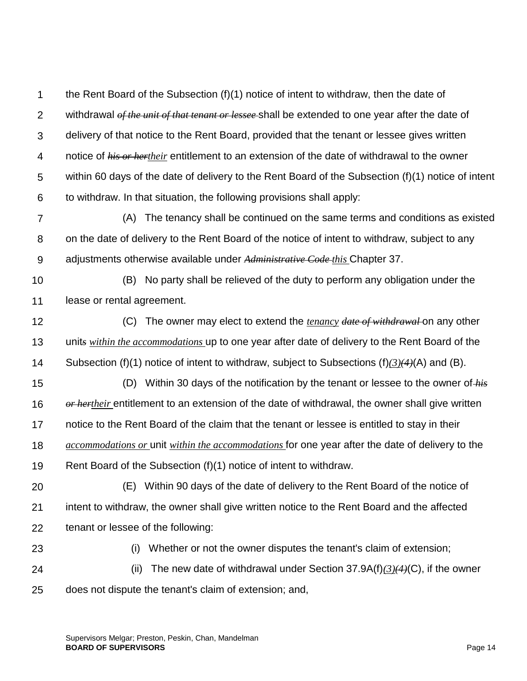1  $\mathcal{P}$ 3 4 5 6 the Rent Board of the Subsection (f)(1) notice of intent to withdraw, then the date of withdrawal *of the unit of that tenant or lessee* shall be extended to one year after the date of delivery of that notice to the Rent Board, provided that the tenant or lessee gives written notice of *his or hertheir* entitlement to an extension of the date of withdrawal to the owner within 60 days of the date of delivery to the Rent Board of the Subsection (f)(1) notice of intent to withdraw. In that situation, the following provisions shall apply:

7 8 9 (A) The tenancy shall be continued on the same terms and conditions as existed on the date of delivery to the Rent Board of the notice of intent to withdraw, subject to any adjustments otherwise available under *Administrative Code this* Chapter 37.

10 11 (B) No party shall be relieved of the duty to perform any obligation under the lease or rental agreement.

12 13 14 (C) The owner may elect to extend the *tenancy date of withdrawal* on any other unit*s within the accommodations* up to one year after date of delivery to the Rent Board of the Subsection (f)(1) notice of intent to withdraw, subject to Subsections (f)*(3)(4)*(A) and (B).

15 (D) Within 30 days of the notification by the tenant or lessee to the owner of *his* 

16 *or hertheir* entitlement to an extension of the date of withdrawal, the owner shall give written

17 notice to the Rent Board of the claim that the tenant or lessee is entitled to stay in their

18 *accommodations or* unit *within the accommodations* for one year after the date of delivery to the

19 Rent Board of the Subsection (f)(1) notice of intent to withdraw.

- 20 21 22 (E) Within 90 days of the date of delivery to the Rent Board of the notice of intent to withdraw, the owner shall give written notice to the Rent Board and the affected tenant or lessee of the following:
	- 23

(i) Whether or not the owner disputes the tenant's claim of extension;

24

(ii) The new date of withdrawal under Section  $37.9A(f)(3)$ *(4)*(C), if the owner

25 does not dispute the tenant's claim of extension; and,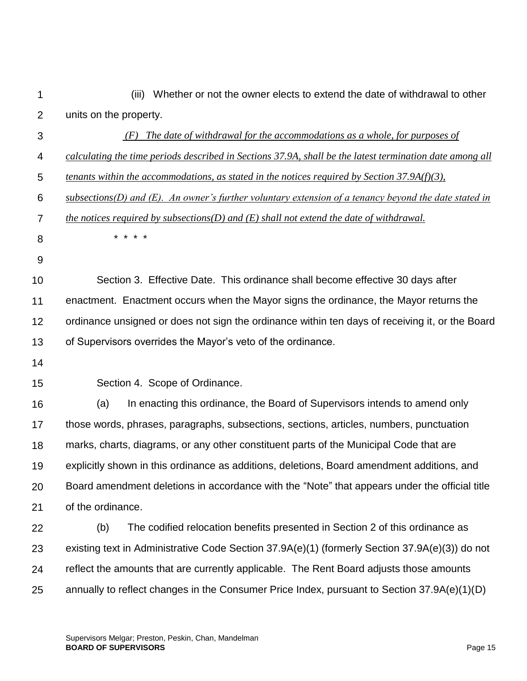| 1              | (iii) Whether or not the owner elects to extend the date of withdrawal to other                          |
|----------------|----------------------------------------------------------------------------------------------------------|
| $\overline{2}$ | units on the property.                                                                                   |
| 3              | $(F)$ The date of withdrawal for the accommodations as a whole, for purposes of                          |
| 4              | calculating the time periods described in Sections 37.9A, shall be the latest termination date among all |
| 5              | tenants within the accommodations, as stated in the notices required by Section $37.9A(f)(3)$ ,          |
| 6              | $subsections(D)$ and (E). An owner's further voluntary extension of a tenancy beyond the date stated in  |
| $\overline{7}$ | the notices required by subsections( $D$ ) and ( $E$ ) shall not extend the date of withdrawal.          |
| 8              | $\star$                                                                                                  |
| 9              |                                                                                                          |
| 10             | Section 3. Effective Date. This ordinance shall become effective 30 days after                           |
| 11             | enactment. Enactment occurs when the Mayor signs the ordinance, the Mayor returns the                    |
| 12             | ordinance unsigned or does not sign the ordinance within ten days of receiving it, or the Board          |
| 13             | of Supervisors overrides the Mayor's veto of the ordinance.                                              |
| 14             |                                                                                                          |
| 15             | Section 4. Scope of Ordinance.                                                                           |
| 16             | (a)<br>In enacting this ordinance, the Board of Supervisors intends to amend only                        |
| 17             | those words, phrases, paragraphs, subsections, sections, articles, numbers, punctuation                  |
| 18             | marks, charts, diagrams, or any other constituent parts of the Municipal Code that are                   |
| 19             | explicitly shown in this ordinance as additions, deletions, Board amendment additions, and               |
| 20             | Board amendment deletions in accordance with the "Note" that appears under the official title            |
| 21             | of the ordinance.                                                                                        |
| 22             | (b)<br>The codified relocation benefits presented in Section 2 of this ordinance as                      |
| 23             | existing text in Administrative Code Section 37.9A(e)(1) (formerly Section 37.9A(e)(3)) do not           |
| 24             | reflect the amounts that are currently applicable. The Rent Board adjusts those amounts                  |
| 25             | annually to reflect changes in the Consumer Price Index, pursuant to Section 37.9A(e)(1)(D)              |